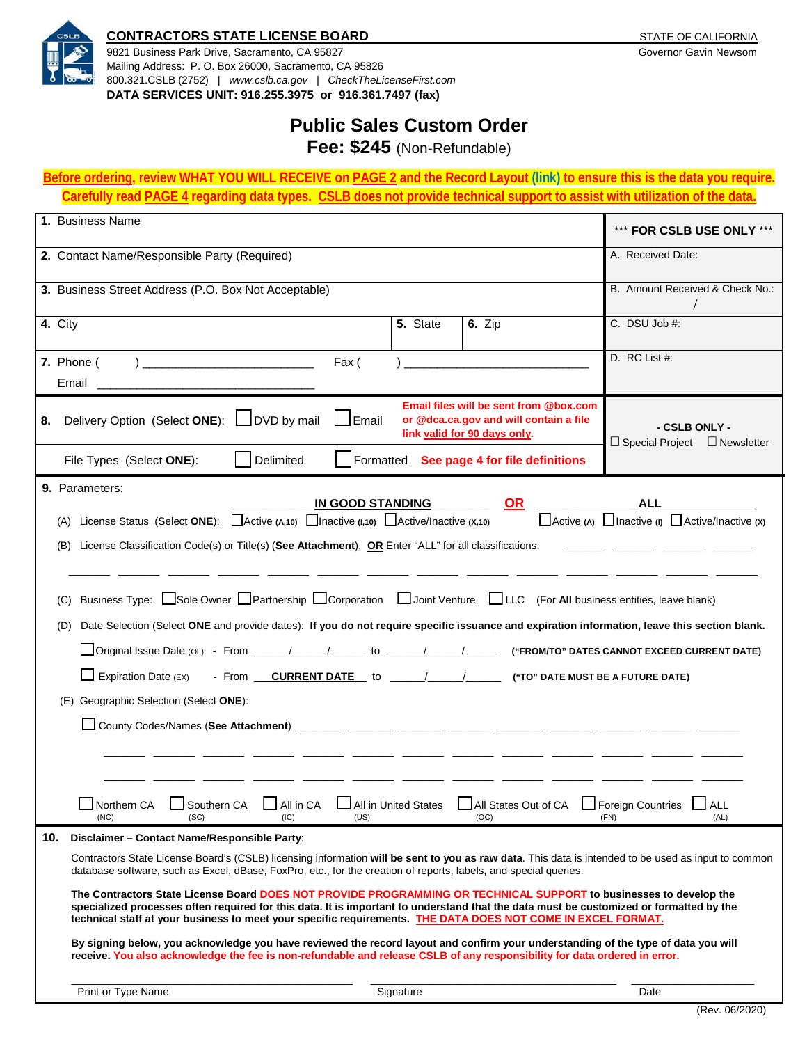

#### **CONTRACTORS STATE LICENSE BOARD CONTRACTORS STATE AND RESERVE ASSAULT AND RESIDENCE**

9821 Business Park Drive, Sacramento, CA 95827 Governor Gavin Newsom Mailing Address: P. O. Box 26000, Sacramento, CA 95826 800.321.CSLB (2752) | *[www.cslb.ca.gov](http://www.cslb.ca.gov/)* | *CheckTheLicenseFirst.com* **DATA SERVICES UNIT: 916.255.3975 or 916.361.7497 (fax)**

# **Public Sales Custom Order**

**Fee: \$245** (Non-Refundable)

**Before ordering, review WHAT YOU WILL RECEIVE on PAGE 2 and the Record Layout [\(link\)](https://cslb.ca.gov/Resources/FormsAndApplications/PublicSalesRecordLayout.pdf) to ensure this is the data you require. Carefully read PAGE 4 regarding data types. CSLB does not provide technical support to assist with utilization of the data.** 

| 1. Business Name                                                                                                                                                                                                                                                                                                                                                                                                                                                                                                                                                                                                                                                                                                                                                                                                                                                                                                                                                                                               | *** FOR CSLB USE ONLY ***                                                                             |
|----------------------------------------------------------------------------------------------------------------------------------------------------------------------------------------------------------------------------------------------------------------------------------------------------------------------------------------------------------------------------------------------------------------------------------------------------------------------------------------------------------------------------------------------------------------------------------------------------------------------------------------------------------------------------------------------------------------------------------------------------------------------------------------------------------------------------------------------------------------------------------------------------------------------------------------------------------------------------------------------------------------|-------------------------------------------------------------------------------------------------------|
| 2. Contact Name/Responsible Party (Required)                                                                                                                                                                                                                                                                                                                                                                                                                                                                                                                                                                                                                                                                                                                                                                                                                                                                                                                                                                   | A. Received Date:                                                                                     |
| 3. Business Street Address (P.O. Box Not Acceptable)                                                                                                                                                                                                                                                                                                                                                                                                                                                                                                                                                                                                                                                                                                                                                                                                                                                                                                                                                           | B. Amount Received & Check No.:                                                                       |
| 5. State<br>4. City<br><b>6.</b> Zip                                                                                                                                                                                                                                                                                                                                                                                                                                                                                                                                                                                                                                                                                                                                                                                                                                                                                                                                                                           | $C.$ DSU Job #:                                                                                       |
| 7. Phone (<br>Fax (<br>Email                                                                                                                                                                                                                                                                                                                                                                                                                                                                                                                                                                                                                                                                                                                                                                                                                                                                                                                                                                                   | D. RC List #:                                                                                         |
| Email files will be sent from @box.com<br>DVD by mail<br>Delivery Option (Select ONE):<br>$\sf J$ Email<br>or @dca.ca.gov and will contain a file<br>8.<br>link valid for 90 days only.                                                                                                                                                                                                                                                                                                                                                                                                                                                                                                                                                                                                                                                                                                                                                                                                                        | - CSLB ONLY -<br>$\Box$ Special Project<br>$\Box$ Newsletter                                          |
| Delimited<br>Formatted<br>See page 4 for file definitions<br>File Types (Select ONE):                                                                                                                                                                                                                                                                                                                                                                                                                                                                                                                                                                                                                                                                                                                                                                                                                                                                                                                          |                                                                                                       |
| 9. Parameters:<br>OR<br><u>IN GOOD STANDING</u><br>License Status (Select ONE): $\Box$ Active (A,10) $\Box$ Inactive (I,10) $\Box$ Active/Inactive (X,10)<br>(A)<br>License Classification Code(s) or Title(s) (See Attachment), OR Enter "ALL" for all classifications:<br>(B)<br>Business Type: Sole Owner Partnership Corporation DJoint Venture DLC (For All business entities, leave blank)<br>(C)<br>Date Selection (Select ONE and provide dates): If you do not require specific issuance and expiration information, leave this section blank.<br>(D)<br>Original Issue Date (OL) - From _____/_____/______ to _____/_____/ ("FROM/TO" DATES CANNOT EXCEED CURRENT DATE)<br>- From ___ CURRENT DATE to ______/_______/________ ("TO" DATE MUST BE A FUTURE DATE)<br>$\Box$ Expiration Date (EX)<br>(E) Geographic Selection (Select ONE):<br>$\Box$ All in CA<br>All in United States<br>All States Out of CA Foreign Countries<br>Southern CA<br>Northern CA<br>(SC)<br>(US)<br>(OC)<br>(NC)<br>(IC) | ALL<br>$\Box$ Active (A) $\Box$ Inactive (I) $\Box$ Active/Inactive (x)<br>$\Box$ ALL<br>(FN)<br>(AL) |
| 10.<br>Disclaimer - Contact Name/Responsible Party:<br>Contractors State License Board's (CSLB) licensing information will be sent to you as raw data. This data is intended to be used as input to common<br>database software, such as Excel, dBase, FoxPro, etc., for the creation of reports, labels, and special queries.<br>The Contractors State License Board DOES NOT PROVIDE PROGRAMMING OR TECHNICAL SUPPORT to businesses to develop the<br>specialized processes often required for this data. It is important to understand that the data must be customized or formatted by the<br>technical staff at your business to meet your specific requirements. THE DATA DOES NOT COME IN EXCEL FORMAT.<br>By signing below, you acknowledge you have reviewed the record layout and confirm your understanding of the type of data you will<br>receive. You also acknowledge the fee is non-refundable and release CSLB of any responsibility for data ordered in error.                               |                                                                                                       |
| Print or Type Name<br>Signature                                                                                                                                                                                                                                                                                                                                                                                                                                                                                                                                                                                                                                                                                                                                                                                                                                                                                                                                                                                | Date                                                                                                  |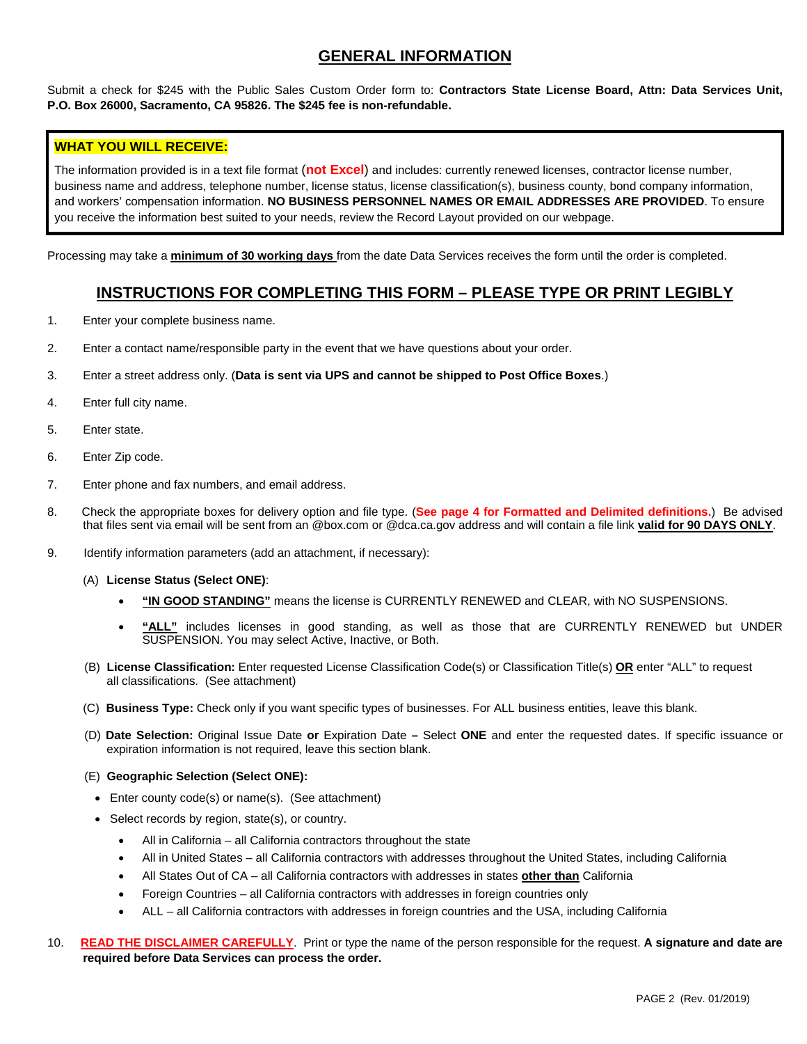#### **GENERAL INFORMATION**

Submit a check for \$245 with the Public Sales Custom Order form to: **Contractors State License Board, Attn: Data Services Unit, P.O. Box 26000, Sacramento, CA 95826. The \$245 fee is non-refundable.** 

#### **WHAT YOU WILL RECEIVE:**

The information provided is in a text file format (**not Excel**) and includes: currently renewed licenses, contractor license number, business name and address, telephone number, license status, license classification(s), business county, bond company information, and workers' compensation information. **NO BUSINESS PERSONNEL NAMES OR EMAIL ADDRESSES ARE PROVIDED**. To ensure you receive the information best suited to your needs, review the Record Layout provided on our webpage.

Processing may take a **minimum of 30 working days** from the date Data Services receives the form until the order is completed.

#### **INSTRUCTIONS FOR COMPLETING THIS FORM – PLEASE TYPE OR PRINT LEGIBLY**

- 1. Enter your complete business name.
- 2. Enter a contact name/responsible party in the event that we have questions about your order.
- 3. Enter a street address only. (**Data is sent via UPS and cannot be shipped to Post Office Boxes**.)
- 4. Enter full city name.
- 5. Enter state.
- 6. Enter Zip code.
- 7. Enter phone and fax numbers, and email address.
- 8. Check the appropriate boxes for delivery option and file type. (**See page 4 for Formatted and Delimited definitions.**) Be advised that files sent via email will be sent from an @box.com or @dca.ca.gov address and will contain a file link **valid for 90 DAYS ONLY**.
- 9. Identify information parameters (add an attachment, if necessary):
	- (A) **License Status (Select ONE)**:
		- **"IN GOOD STANDING"** means the license is CURRENTLY RENEWED and CLEAR, with NO SUSPENSIONS.
		- **"ALL"** includes licenses in good standing, as well as those that are CURRENTLY RENEWED but UNDER SUSPENSION. You may select Active, Inactive, or Both.
	- (B) **License Classification:** Enter requested License Classification Code(s) or Classification Title(s) **OR** enter "ALL" to request all classifications. (See attachment)
	- (C) **Business Type:** Check only if you want specific types of businesses. For ALL business entities, leave this blank.
	- (D) **Date Selection:** Original Issue Date **or** Expiration Date **–** Select **ONE** and enter the requested dates. If specific issuance or expiration information is not required, leave this section blank.
	- (E) **Geographic Selection (Select ONE):**
		- Enter county code(s) or name(s). (See attachment)
		- Select records by region, state(s), or country.
			- All in California all California contractors throughout the state
			- All in United States all California contractors with addresses throughout the United States, including California
			- All States Out of CA all California contractors with addresses in states **other than** California
			- Foreign Countries all California contractors with addresses in foreign countries only
			- ALL all California contractors with addresses in foreign countries and the USA, including California
- 10. **READ THE DISCLAIMER CAREFULLY**. Print or type the name of the person responsible for the request. **A signature and date are required before Data Services can process the order.**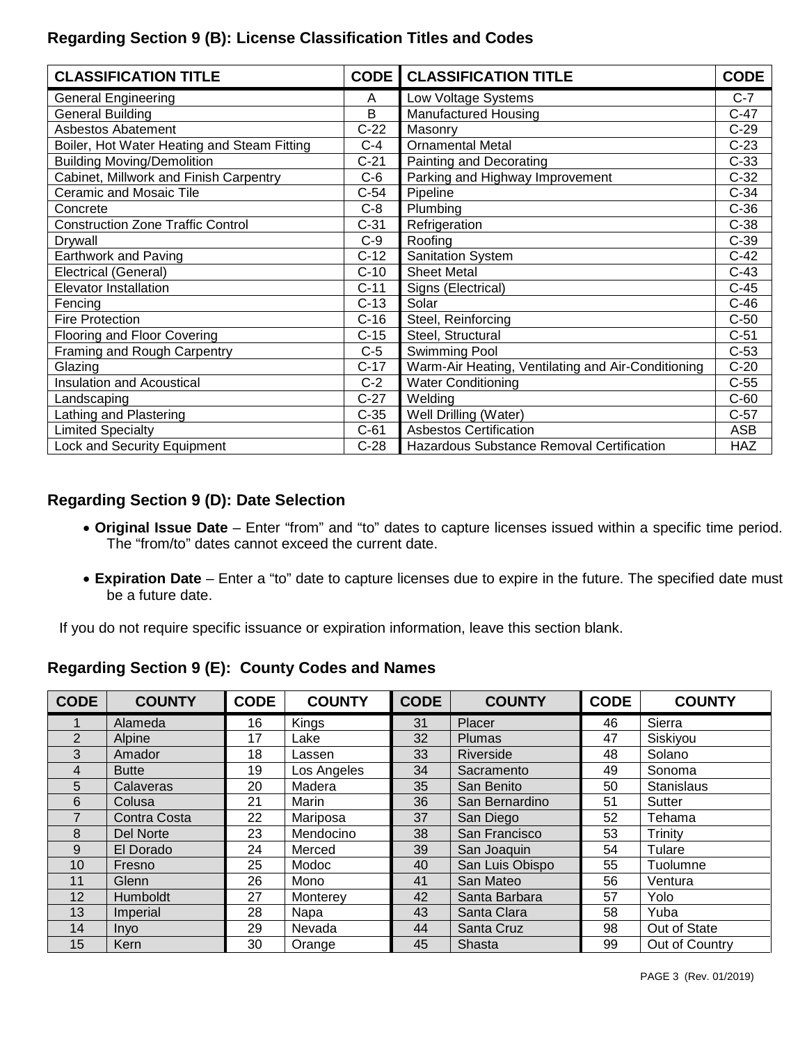# **Regarding Section 9 (B): License Classification Titles and Codes**

| <b>CLASSIFICATION TITLE</b>                 | <b>CODE</b> | <b>CLASSIFICATION TITLE</b>                        | <b>CODE</b> |
|---------------------------------------------|-------------|----------------------------------------------------|-------------|
| <b>General Engineering</b>                  | Α           | Low Voltage Systems                                | $C-7$       |
| <b>General Building</b>                     | B           | Manufactured Housing                               | $C-47$      |
| <b>Asbestos Abatement</b>                   | $C-22$      | Masonry                                            | $C-29$      |
| Boiler, Hot Water Heating and Steam Fitting | $C-4$       | <b>Ornamental Metal</b>                            | $C-23$      |
| <b>Building Moving/Demolition</b>           | $C-21$      | Painting and Decorating                            | $C-33$      |
| Cabinet, Millwork and Finish Carpentry      | $C-6$       | Parking and Highway Improvement                    | $C-32$      |
| <b>Ceramic and Mosaic Tile</b>              | $C-54$      | Pipeline                                           | $C-34$      |
| Concrete                                    | $C-8$       | Plumbing                                           | $C-36$      |
| <b>Construction Zone Traffic Control</b>    | $C-31$      | Refrigeration                                      | $C-38$      |
| Drywall                                     | $C-9$       | Roofing                                            | $C-39$      |
| Earthwork and Paving                        | $C-12$      | <b>Sanitation System</b>                           | $C-42$      |
| Electrical (General)                        | $C-10$      | <b>Sheet Metal</b>                                 | $C-43$      |
| <b>Elevator Installation</b>                | $C-11$      | Signs (Electrical)                                 | $C-45$      |
| Fencing                                     | $C-13$      | Solar                                              | $C-46$      |
| <b>Fire Protection</b>                      | $C-16$      | Steel, Reinforcing                                 | $C-50$      |
| Flooring and Floor Covering                 | $C-15$      | Steel, Structural                                  | $C-51$      |
| Framing and Rough Carpentry                 | $C-5$       | Swimming Pool                                      | $C-53$      |
| Glazing                                     | $C-17$      | Warm-Air Heating, Ventilating and Air-Conditioning | $C-20$      |
| <b>Insulation and Acoustical</b>            | $C-2$       | <b>Water Conditioning</b>                          | $C-55$      |
| Landscaping                                 | $C-27$      | Welding                                            | $C-60$      |
| Lathing and Plastering                      | $C-35$      | Well Drilling (Water)                              | $C-57$      |
| <b>Limited Specialty</b>                    | $C-61$      | <b>Asbestos Certification</b>                      | ASB         |
| Lock and Security Equipment                 | $C-28$      | Hazardous Substance Removal Certification          | <b>HAZ</b>  |

### **Regarding Section 9 (D): Date Selection**

- **Original Issue Date**  Enter "from" and "to" dates to capture licenses issued within a specific time period. The "from/to" dates cannot exceed the current date.
- **Expiration Date**  Enter a "to" date to capture licenses due to expire in the future. The specified date must be a future date.

If you do not require specific issuance or expiration information, leave this section blank.

### **Regarding Section 9 (E): County Codes and Names**

| <b>CODE</b>    | <b>COUNTY</b> | <b>CODE</b> | <b>COUNTY</b> | <b>CODE</b> | <b>COUNTY</b>   | <b>CODE</b> | <b>COUNTY</b>     |
|----------------|---------------|-------------|---------------|-------------|-----------------|-------------|-------------------|
|                | Alameda       | 16          | Kings         | 31          | Placer          | 46          | Sierra            |
| $\overline{2}$ | Alpine        | 17          | Lake          | 32          | Plumas          | 47          | Siskiyou          |
| 3              | Amador        | 18          | Lassen        | 33          | Riverside       | 48          | Solano            |
| 4              | <b>Butte</b>  | 19          | Los Angeles   | 34          | Sacramento      | 49          | Sonoma            |
| 5              | Calaveras     | 20          | Madera        | 35          | San Benito      | 50          | <b>Stanislaus</b> |
| 6              | Colusa        | 21          | Marin         | 36          | San Bernardino  | 51          | Sutter            |
|                | Contra Costa  | 22          | Mariposa      | 37          | San Diego       | 52          | Tehama            |
| 8              | Del Norte     | 23          | Mendocino     | 38          | San Francisco   | 53          | Trinity           |
| 9              | El Dorado     | 24          | Merced        | 39          | San Joaquin     | 54          | Tulare            |
| 10             | Fresno        | 25          | Modoc         | 40          | San Luis Obispo | 55          | Tuolumne          |
| 11             | Glenn         | 26          | Mono          | 41          | San Mateo       | 56          | Ventura           |
| 12             | Humboldt      | 27          | Monterey      | 42          | Santa Barbara   | 57          | Yolo              |
| 13             | Imperial      | 28          | Napa          | 43          | Santa Clara     | 58          | Yuba              |
| 14             | <b>Inyo</b>   | 29          | Nevada        | 44          | Santa Cruz      | 98          | Out of State      |
| 15             | Kern          | 30          | Orange        | 45          | Shasta          | 99          | Out of Country    |